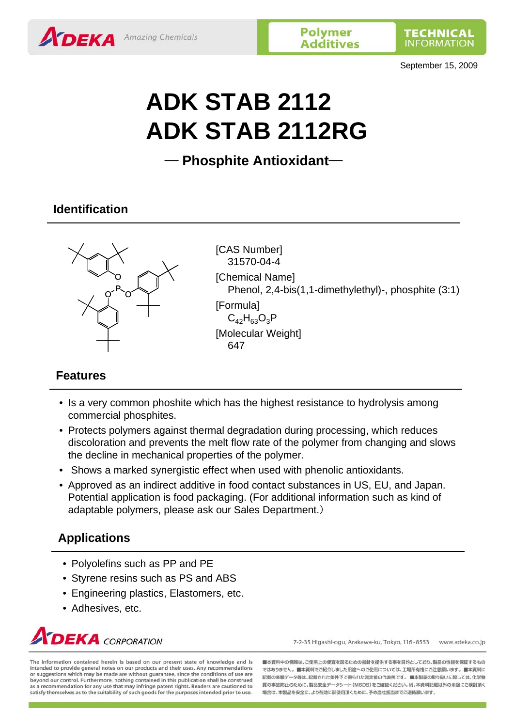September 15, 2009

# **ADK STAB 2112 ADK STAB 2112RG**

─ **Phosphite Antioxidant**─

# **Identification**



[CAS Number] 31570-04-4 [Chemical Name] Phenol, 2,4-bis(1,1-dimethylethyl)-, phosphite (3:1) **[Formula]**  $C_{42}H_{63}O_3P$ [Molecular Weight] 647

# **Features**

- Is a very common phoshite which has the highest resistance to hydrolysis among commercial phosphites.
- Protects polymers against thermal degradation during processing, which reduces discoloration and prevents the melt flow rate of the polymer from changing and slows the decline in mechanical properties of the polymer.
- Shows a marked synergistic effect when used with phenolic antioxidants.
- Approved as an indirect additive in food contact substances in US, EU, and Japan. Potential application is food packaging. (For additional information such as kind of adaptable polymers, please ask our Sales Department.)

# **Applications**

- Polyolefins such as PP and PE
- Styrene resins such as PS and ABS
- Engineering plastics, Elastomers, etc.
- Adhesives, etc.



7-2-35 Higashi-ogu, Arakawa-ku, Tokyo, 116-8553 www.adeka.co.jp

The information contained herein is based on our present state of knowledge and is intended to provide general notes on our products and their uses. Any recommendations or suggestions which may be made are without guarantee, since the conditions of use are beyond our control. Furthermore, nothing contained in this publication shall be construed<br>as a recommendation for any use that may infringe patent rights. Readers are cautioned to satisfy themselves as to the suitability of such goods for the purposes intended prior to use.

■本資料中の情報は、ご使用上の便宜を図るための指針を提供する事を目的としており、製品の性能を保証するもの ではありません。■本資料でご紹介しました用途へのご使用については、工場所有権にご注意願います。■本資料に 記載の実験データ等は、記載された条件下で得られた測定値の代表例です。■本製品の取り扱いに際しては、化学物 質の事故防止のために、製品安全データシート(MSDS)をご確認ください。尚、本資料記載以外の用途にご検討頂く 場合は、本製品を安全に、より有効に御使用頂くために、予め当社担当までご連絡願います。